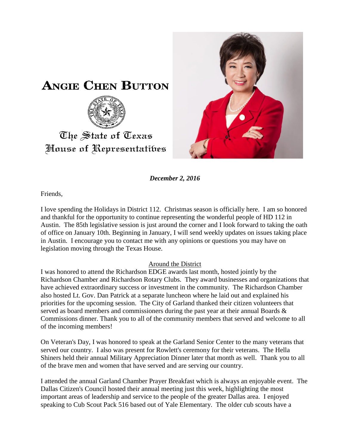



*December 2, 2016*

Friends,

I love spending the Holidays in District 112. Christmas season is officially here. I am so honored and thankful for the opportunity to continue representing the wonderful people of HD 112 in Austin. The 85th legislative session is just around the corner and I look forward to taking the oath of office on January 10th. Beginning in January, I will send weekly updates on issues taking place in Austin. I encourage you to contact me with any opinions or questions you may have on legislation moving through the Texas House.

## Around the District

I was honored to attend the Richardson EDGE awards last month, hosted jointly by the Richardson Chamber and Richardson Rotary Clubs. They award businesses and organizations that have achieved extraordinary success or investment in the community. The Richardson Chamber also hosted Lt. Gov. Dan Patrick at a separate luncheon where he laid out and explained his priorities for the upcoming session. The City of Garland thanked their citizen volunteers that served as board members and commissioners during the past year at their annual Boards & Commissions dinner. Thank you to all of the community members that served and welcome to all of the incoming members!

On Veteran's Day, I was honored to speak at the Garland Senior Center to the many veterans that served our country. I also was present for Rowlett's ceremony for their veterans. The Hella Shiners held their annual Military Appreciation Dinner later that month as well. Thank you to all of the brave men and women that have served and are serving our country.

I attended the annual Garland Chamber Prayer Breakfast which is always an enjoyable event. The Dallas Citizen's Council hosted their annual meeting just this week, highlighting the most important areas of leadership and service to the people of the greater Dallas area. I enjoyed speaking to Cub Scout Pack 516 based out of Yale Elementary. The older cub scouts have a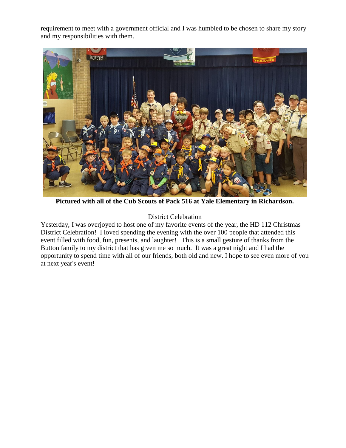requirement to meet with a government official and I was humbled to be chosen to share my story and my responsibilities with them.



**Pictured with all of the Cub Scouts of Pack 516 at Yale Elementary in Richardson.**

## District Celebration

Yesterday, I was overjoyed to host one of my favorite events of the year, the HD 112 Christmas District Celebration! I loved spending the evening with the over 100 people that attended this event filled with food, fun, presents, and laughter! This is a small gesture of thanks from the Button family to my district that has given me so much. It was a great night and I had the opportunity to spend time with all of our friends, both old and new. I hope to see even more of you at next year's event!